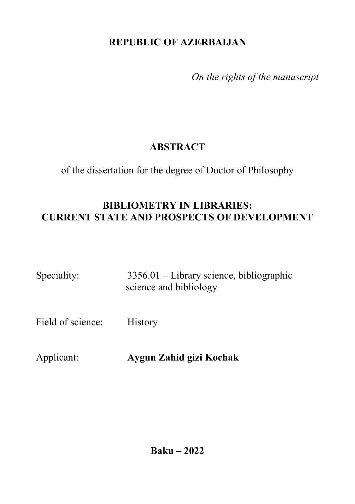## **REPUBLIC OF AZERBAIJAN**

*On the rights of the manuscript*

# **ABSTRACT**

of the dissertation for the degree of Doctor of Philosophy

## **BIBLIOMETRY IN LIBRARIES: CURRENT STATE AND PROSPECTS OF DEVELOPMENT**

| Speciality: | $3356.01$ – Library science, bibliographic |
|-------------|--------------------------------------------|
|             | science and bibliology                     |

Field of science: History

Applicant: **Aygun Zahid gizi Kochak**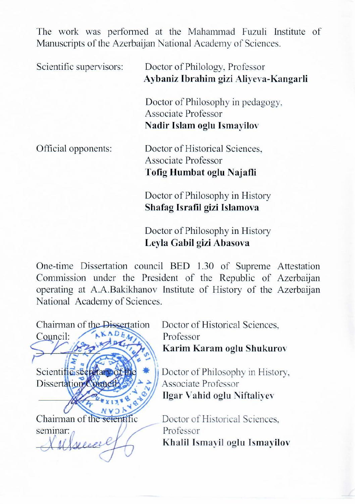The work was performed at the Mahammad Fuzuli Institute of Manuscripts of the Azerbaijan National Academy of Sciences.

| Scientific supervisors: | Doctor of Philology, Professor<br>Aybaniz Ibrahim gizi Aliyeva-Kangarli                                                                                                                                                       |
|-------------------------|-------------------------------------------------------------------------------------------------------------------------------------------------------------------------------------------------------------------------------|
|                         | Doctor of Philosophy in pedagogy,<br>Associate Professor                                                                                                                                                                      |
|                         | Nadir Islam oglu Ismayilov                                                                                                                                                                                                    |
| Official opponents:     | Doctor of Historical Sciences,<br>Associate Professor                                                                                                                                                                         |
|                         | Tofig Humbat oglu Najafli                                                                                                                                                                                                     |
|                         | Doctor of Philosophy in History                                                                                                                                                                                               |
|                         | Shafag Israfil gizi Islamova                                                                                                                                                                                                  |
|                         | the company of the company of the company of the company of the company of the company of the company of the company of the company of the company of the company of the company of the company of the company of the company |

Doctor of Philosophy in History Leyla Gabil gizi Abasova

One-time Dissertation council BED 1.30 of Supreme Attestation Commission under the President of the Republic of Azerbaijan operating at A.A.Bakikhanov Institute of History of the Azerbaijan National Academy of Sciences.



Doctor of Historical Sciences. Karim Karam oglu Shukurov

Doctor of Philosophy in History, **Ilgar Vahid oglu Niftaliyev** 

Doctor of Historical Sciences. Khalil Ismayil oglu Ismayilov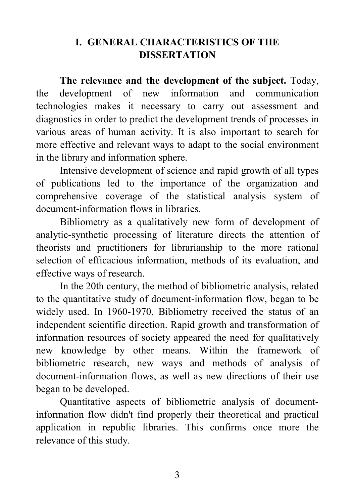## **I. GENERAL CHARACTERISTICS OF THE DISSERTATION**

**The relevance and the development of the subject.** Today, the development of new information and communication technologies makes it necessary to carry out assessment and diagnostics in order to predict the development trends of processes in various areas of human activity. It is also important to search for more effective and relevant ways to adapt to the social environment in the library and information sphere.

Intensive development of science and rapid growth of all types of publications led to the importance of the organization and comprehensive coverage of the statistical analysis system of document-information flows in libraries.

Bibliometry as a qualitatively new form of development of analytic-synthetic processing of literature directs the attention of theorists and practitioners for librarianship to the more rational selection of efficacious information, methods of its evaluation, and effective ways of research.

In the 20th century, the method of bibliometric analysis, related to the quantitative study of document-information flow, began to be widely used. In 1960-1970, Bibliometry received the status of an independent scientific direction. Rapid growth and transformation of information resources of society appeared the need for qualitatively new knowledge by other means. Within the framework of bibliometric research, new ways and methods of analysis of document-information flows, as well as new directions of their use began to be developed.

Quantitative aspects of bibliometric analysis of documentinformation flow didn't find properly their theoretical and practical application in republic libraries. This confirms once more the relevance of this study.

3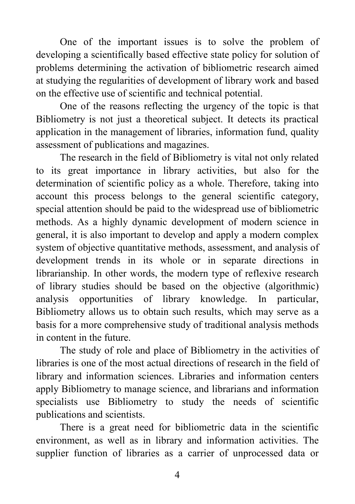One of the important issues is to solve the problem of developing a scientifically based effective state policy for solution of problems determining the activation of bibliometric research aimed at studying the regularities of development of library work and based on the effective use of scientific and technical potential.

One of the reasons reflecting the urgency of the topic is that Bibliometry is not just a theoretical subject. It detects its practical application in the management of libraries, information fund, quality assessment of publications and magazines.

The research in the field of Bibliometry is vital not only related to its great importance in library activities, but also for the determination of scientific policy as a whole. Therefore, taking into account this process belongs to the general scientific category, special attention should be paid to the widespread use of bibliometric methods. As a highly dynamic development of modern science in general, it is also important to develop and apply a modern complex system of objective quantitative methods, assessment, and analysis of development trends in its whole or in separate directions in librarianship. In other words, the modern type of reflexive research of library studies should be based on the objective (algorithmic) analysis opportunities of library knowledge. In particular, Bibliometry allows us to obtain such results, which may serve as a basis for a more comprehensive study of traditional analysis methods in content in the future.

The study of role and place of Bibliometry in the activities of libraries is one of the most actual directions of research in the field of library and information sciences. Libraries and information centers apply Bibliometry to manage science, and librarians and information specialists use Bibliometry to study the needs of scientific publications and scientists.

There is a great need for bibliometric data in the scientific environment, as well as in library and information activities. The supplier function of libraries as a carrier of unprocessed data or

4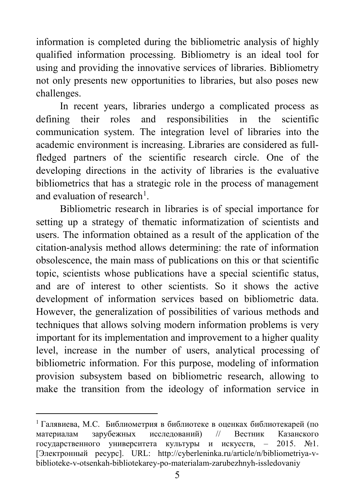information is completed during the bibliometric analysis of highly qualified information processing. Bibliometry is an ideal tool for using and providing the innovative services of libraries. Bibliometry not only presents new opportunities to libraries, but also poses new challenges.

In recent years, libraries undergo a complicated process as defining their roles and responsibilities in the scientific communication system. The integration level of libraries into the academic environment is increasing. Libraries are considered as fullfledged partners of the scientific research circle. One of the developing directions in the activity of libraries is the evaluative bibliometrics that has a strategic role in the process of management and evaluation of research<sup>[1](#page-4-0)</sup>.

Bibliometric research in libraries is of special importance for setting up a strategy of thematic informatization of scientists and users. The information obtained as a result of the application of the citation-analysis method allows determining: the rate of information obsolescence, the main mass of publications on this or that scientific topic, scientists whose publications have a special scientific status, and are of interest to other scientists. So it shows the active development of information services based on bibliometric data. However, the generalization of possibilities of various methods and techniques that allows solving modern information problems is very important for its implementation and improvement to a higher quality level, increase in the number of users, analytical processing of bibliometric information. For this purpose, modeling of information provision subsystem based on bibliometric research, allowing to make the transition from the ideology of information service in

<span id="page-4-0"></span> <sup>1</sup> Галявиева, М.С. Библиометрия в библиотеке в оценках библиотекарей (по материалам зарубежных исследований) // [Вестник Казанского](http://cyberleninka.ru/journal/n/vestnik-kazanskogo-gosudarstvennogo-universiteta-kultury-i-iskusstv)  [государственного университета культуры и искусств](http://cyberleninka.ru/journal/n/vestnik-kazanskogo-gosudarstvennogo-universiteta-kultury-i-iskusstv), – 2015. №1. [Электронный ресурс]. URL: http://cyberleninka.ru/article/n/bibliometriya-vbiblioteke-v-otsenkah-bibliotekarey-po-materialam-zarubezhnyh-issledovaniy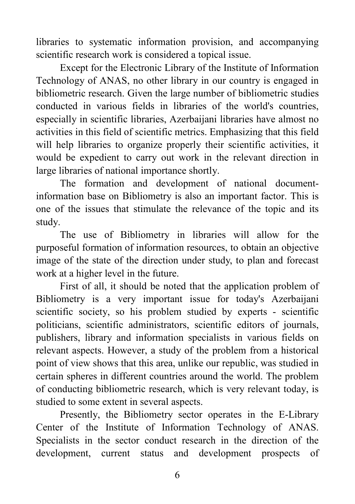libraries to systematic information provision, and accompanying scientific research work is considered a topical issue.

Except for the Electronic Library of the Institute of Information Technology of ANAS, no other library in our country is engaged in bibliometric research. Given the large number of bibliometric studies conducted in various fields in libraries of the world's countries, especially in scientific libraries, Azerbaijani libraries have almost no activities in this field of scientific metrics. Emphasizing that this field will help libraries to organize properly their scientific activities, it would be expedient to carry out work in the relevant direction in large libraries of national importance shortly.

The formation and development of national documentinformation base on Bibliometry is also an important factor. This is one of the issues that stimulate the relevance of the topic and its study.

The use of Bibliometry in libraries will allow for the purposeful formation of information resources, to obtain an objective image of the state of the direction under study, to plan and forecast work at a higher level in the future.

First of all, it should be noted that the application problem of Bibliometry is a very important issue for today's Azerbaijani scientific society, so his problem studied by experts - scientific politicians, scientific administrators, scientific editors of journals, publishers, library and information specialists in various fields on relevant aspects. However, a study of the problem from a historical point of view shows that this area, unlike our republic, was studied in certain spheres in different countries around the world. The problem of conducting bibliometric research, which is very relevant today, is studied to some extent in several aspects.

Presently, the Bibliometry sector operates in the E-Library Center of the Institute of Information Technology of ANAS. Specialists in the sector conduct research in the direction of the development, current status and development prospects of

6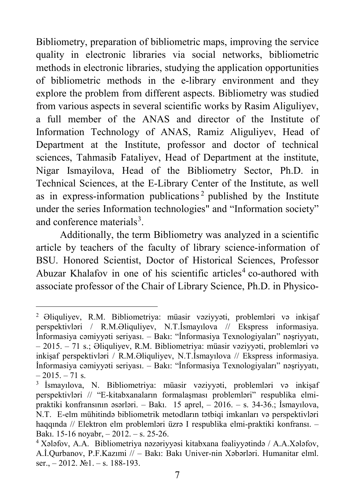Bibliometry, preparation of bibliometric maps, improving the service quality in electronic libraries via social networks, bibliometric methods in electronic libraries, studying the application opportunities of bibliometric methods in the e-library environment and they explore the problem from different aspects. Bibliometry was studied from various aspects in several scientific works by Rasim Aliguliyev, a full member of the ANAS and director of the Institute of Information Technology of ANAS, Ramiz Aliguliyev, Head of Department at the Institute, professor and doctor of technical sciences, Tahmasib Fataliyev, Head of Department at the institute, Nigar Ismayilova, Head of the Bibliometry Sector, Ph.D. in Technical Sciences, at the E-Library Center of the Institute, as well as in express-information publications<sup>[2](#page-6-0)</sup> published by the Institute under the series Information technologies" and "Information society" and conference materials<sup>[3](#page-6-1)</sup>.

Additionally, the term Bibliometry was analyzed in a scientific article by teachers of the faculty of library science-information of BSU. Honored Scientist, Doctor of Historical Sciences, Professor Abuzar Khalafov in one of his scientific articles<sup>[4](#page-6-2)</sup> co-authored with associate professor of the Chair of Library Science, Ph.D. in Physico-

<span id="page-6-0"></span> <sup>2</sup> Əliquliyev, R.M. Bibliometriya: müasir vəziyyəti, problemləri və inkişaf perspektivləri / R.M.Əliquliyev, N.T.İsmayılova // Ekspress informasiya. İnformasiya cəmiyyəti seriyası. – Bakı: "İnformasiya Texnologiyaları" nəşriyyatı, – 2015. – 71 s.; Əliquliyev, R.M. Bibliometriya: müasir vəziyyəti, problemləri və inkişaf perspektivləri / R.M.Əliquliyev, N.T.İsmayılova // Ekspress informasiya. İnformasiya cəmiyyəti seriyası. – Bakı: "İnformasiya Texnologiyaları" nəşriyyatı,  $-2015$ .  $-71$  s.

<span id="page-6-1"></span><sup>3</sup> İsmayılova, N. Bibliometriya: müasir vəziyyəti, problemləri və inkişaf perspektivləri // "E-kitabxanaların formalaşması problemləri" respublika elmipraktiki konfransının əsərləri. – Bakı. 15 aprel, – 2016. – s. 34-36.; İsmayılova, N.T. E-elm mühitində bibliometrik metodların tətbiqi imkanları və perspektivləri haqqında // Elektron elm problemləri üzrə I respublika elmi-praktiki konfransı. – Bakı. 15-16 noyabr, – 2012. – s. 25-26.

<span id="page-6-2"></span><sup>4</sup> Xələfov, A.A. Bibliometriya nəzəriyyəsi kitabxana fəaliyyətində / A.A.Xələfov, A.İ.Qurbanov, P.F.Kazımi // – Bakı: Bakı Univer-nin Xəbərləri. Humanitar elml. ser.,  $-2012$ .  $N_21. - s$ . 188-193.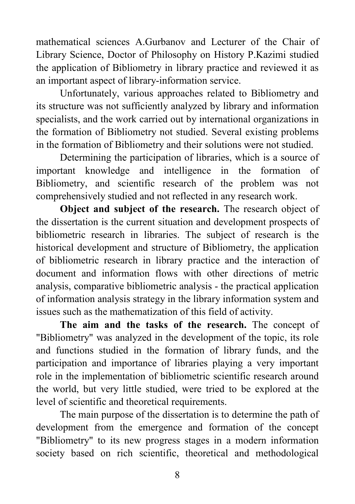mathematical sciences A.Gurbanov and Lecturer of the Chair of Library Science, Doctor of Philosophy on History P.Kazimi studied the application of Bibliometry in library practice and reviewed it as an important aspect of library-information service.

Unfortunately, various approaches related to Bibliometry and its structure was not sufficiently analyzed by library and information specialists, and the work carried out by international organizations in the formation of Bibliometry not studied. Several existing problems in the formation of Bibliometry and their solutions were not studied.

Determining the participation of libraries, which is a source of important knowledge and intelligence in the formation of Bibliometry, and scientific research of the problem was not comprehensively studied and not reflected in any research work.

**Object and subject of the research.** The research object of the dissertation is the current situation and development prospects of bibliometric research in libraries. The subject of research is the historical development and structure of Bibliometry, the application of bibliometric research in library practice and the interaction of document and information flows with other directions of metric analysis, comparative bibliometric analysis - the practical application of information analysis strategy in the library information system and issues such as the mathematization of this field of activity.

**The aim and the tasks of the research.** The concept of "Bibliometry" was analyzed in the development of the topic, its role and functions studied in the formation of library funds, and the participation and importance of libraries playing a very important role in the implementation of bibliometric scientific research around the world, but very little studied, were tried to be explored at the level of scientific and theoretical requirements.

The main purpose of the dissertation is to determine the path of development from the emergence and formation of the concept "Bibliometry" to its new progress stages in a modern information society based on rich scientific, theoretical and methodological

8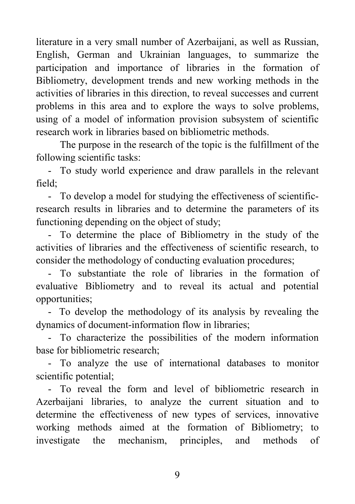literature in a very small number of Azerbaijani, as well as Russian, English, German and Ukrainian languages, to summarize the participation and importance of libraries in the formation of Bibliometry, development trends and new working methods in the activities of libraries in this direction, to reveal successes and current problems in this area and to explore the ways to solve problems, using of a model of information provision subsystem of scientific research work in libraries based on bibliometric methods.

The purpose in the research of the topic is the fulfillment of the following scientific tasks:

- To study world experience and draw parallels in the relevant field;

- To develop a model for studying the effectiveness of scientificresearch results in libraries and to determine the parameters of its functioning depending on the object of study;

- To determine the place of Bibliometry in the study of the activities of libraries and the effectiveness of scientific research, to consider the methodology of conducting evaluation procedures;

- To substantiate the role of libraries in the formation of evaluative Bibliometry and to reveal its actual and potential opportunities;

- To develop the methodology of its analysis by revealing the dynamics of document-information flow in libraries;

- To characterize the possibilities of the modern information base for bibliometric research;

- To analyze the use of international databases to monitor scientific potential;

- To reveal the form and level of bibliometric research in Azerbaijani libraries, to analyze the current situation and to determine the effectiveness of new types of services, innovative working methods aimed at the formation of Bibliometry; to investigate the mechanism, principles, and methods of

9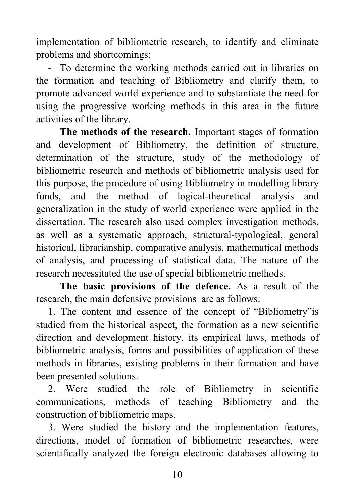implementation of bibliometric research, to identify and eliminate problems and shortcomings;

- To determine the working methods carried out in libraries on the formation and teaching of Bibliometry and clarify them, to promote advanced world experience and to substantiate the need for using the progressive working methods in this area in the future activities of the library.

**The methods of the research.** Important stages of formation and development of Bibliometry, the definition of structure, determination of the structure, study of the methodology of bibliometric research and methods of bibliometric analysis used for this purpose, the procedure of using Bibliometry in modelling library funds, and the method of logical-theoretical analysis and generalization in the study of world experience were applied in the dissertation. The research also used complex investigation methods, as well as a systematic approach, structural-typological, general historical, librarianship, comparative analysis, mathematical methods of analysis, and processing of statistical data. The nature of the research necessitated the use of special bibliometric methods.

**The basic provisions of the defence.** As a result of the research, the main defensive provisions are as follows:

1. The content and essence of the concept of "Bibliometry"is studied from the historical aspect, the formation as a new scientific direction and development history, its empirical laws, methods of bibliometric analysis, forms and possibilities of application of these methods in libraries, existing problems in their formation and have been presented solutions.

2. Were studied the role of Bibliometry in scientific communications, methods of teaching Bibliometry and the construction of bibliometric maps.

3. Were studied the history and the implementation features, directions, model of formation of bibliometric researches, were scientifically analyzed the foreign electronic databases allowing to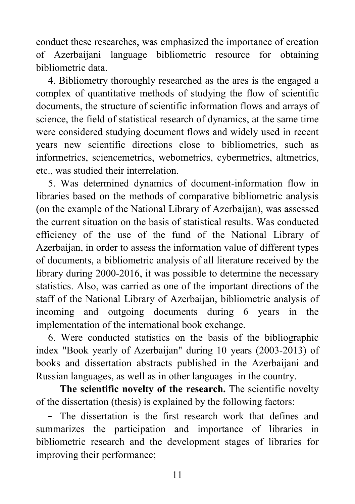conduct these researches, was emphasized the importance of creation of Azerbaijani language bibliometric resource for obtaining bibliometric data.

4. Bibliometry thoroughly researched as the ares is the engaged a complex of quantitative methods of studying the flow of scientific documents, the structure of scientific information flows and arrays of science, the field of statistical research of dynamics, at the same time were considered studying document flows and widely used in recent years new scientific directions close to bibliometrics, such as informetrics, sciencemetrics, webometrics, cybermetrics, altmetrics, etc., was studied their interrelation.

5. Was determined dynamics of document-information flow in libraries based on the methods of comparative bibliometric analysis (on the example of the National Library of Azerbaijan), was assessed the current situation on the basis of statistical results. Was conducted efficiency of the use of the fund of the National Library of Azerbaijan, in order to assess the information value of different types of documents, a bibliometric analysis of all literature received by the library during 2000-2016, it was possible to determine the necessary statistics. Also, was carried as one of the important directions of the staff of the National Library of Azerbaijan, bibliometric analysis of incoming and outgoing documents during 6 years in the implementation of the international book exchange.

6. Were conducted statistics on the basis of the bibliographic index "Book yearly of Azerbaijan" during 10 years (2003-2013) of books and dissertation abstracts published in the Azerbaijani and Russian languages, as well as in other languages in the country.

**The scientific novelty of the research.** The scientific novelty of the dissertation (thesis) is explained by the following factors:

**-** The dissertation is the first research work that defines and summarizes the participation and importance of libraries in bibliometric research and the development stages of libraries for improving their performance;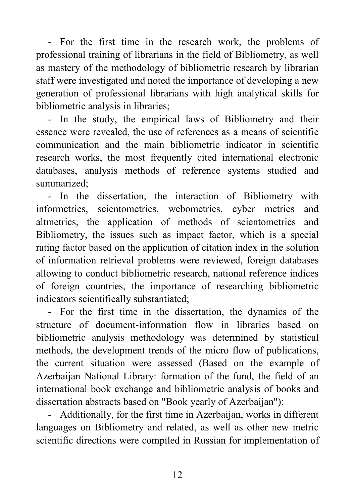- For the first time in the research work, the problems of professional training of librarians in the field of Bibliometry, as well as mastery of the methodology of bibliometric research by librarian staff were investigated and noted the importance of developing a new generation of professional librarians with high analytical skills for bibliometric analysis in libraries;

- In the study, the empirical laws of Bibliometry and their essence were revealed, the use of references as a means of scientific communication and the main bibliometric indicator in scientific research works, the most frequently cited international electronic databases, analysis methods of reference systems studied and summarized;

- In the dissertation, the interaction of Bibliometry with informetrics, scientometrics, webometrics, cyber metrics and altmetrics, the application of methods of scientometrics and Bibliometry, the issues such as impact factor, which is a special rating factor based on the application of citation index in the solution of information retrieval problems were reviewed, foreign databases allowing to conduct bibliometric research, national reference indices of foreign countries, the importance of researching bibliometric indicators scientifically substantiated;

- For the first time in the dissertation, the dynamics of the structure of document-information flow in libraries based on bibliometric analysis methodology was determined by statistical methods, the development trends of the micro flow of publications, the current situation were assessed (Based on the example of Azerbaijan National Library: formation of the fund, the field of an international book exchange and bibliometric analysis of books and dissertation abstracts based on "Book yearly of Azerbaijan");

- Additionally, for the first time in Azerbaijan, works in different languages on Bibliometry and related, as well as other new metric scientific directions were compiled in Russian for implementation of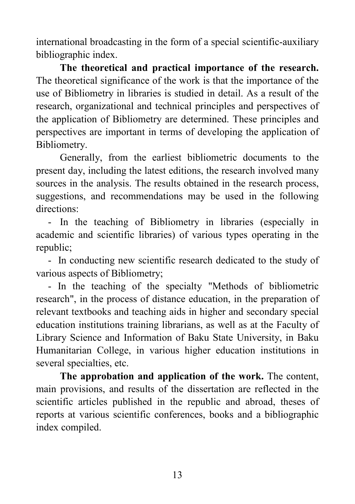international broadcasting in the form of a special scientific-auxiliary bibliographic index.

**The theoretical and practical importance of the research.**  The theoretical significance of the work is that the importance of the use of Bibliometry in libraries is studied in detail. As a result of the research, organizational and technical principles and perspectives of the application of Bibliometry are determined. These principles and perspectives are important in terms of developing the application of Bibliometry.

Generally, from the earliest bibliometric documents to the present day, including the latest editions, the research involved many sources in the analysis. The results obtained in the research process, suggestions, and recommendations may be used in the following directions:

- In the teaching of Bibliometry in libraries (especially in academic and scientific libraries) of various types operating in the republic;

- In conducting new scientific research dedicated to the study of various aspects of Bibliometry;

- In the teaching of the specialty "Methods of bibliometric research", in the process of distance education, in the preparation of relevant textbooks and teaching aids in higher and secondary special education institutions training librarians, as well as at the Faculty of Library Science and Information of Baku State University, in Baku Humanitarian College, in various higher education institutions in several specialties, etc.

**The approbation and application of the work.** The content, main provisions, and results of the dissertation are reflected in the scientific articles published in the republic and abroad, theses of reports at various scientific conferences, books and a bibliographic index compiled.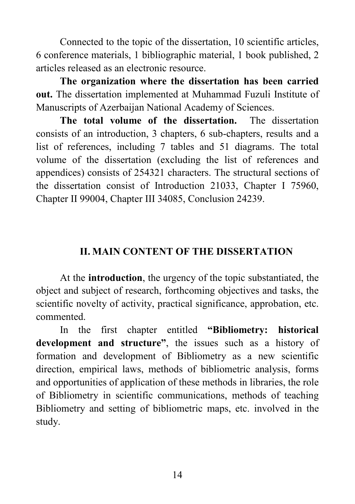Connected to the topic of the dissertation, 10 scientific articles, 6 conference materials, 1 bibliographic material, 1 book published, 2 articles released as an electronic resource.

**The organization where the dissertation has been carried out.** The dissertation implemented at Muhammad Fuzuli Institute of Manuscripts of Azerbaijan National Academy of Sciences.

**The total volume of the dissertation.** The dissertation consists of an introduction, 3 chapters, 6 sub-chapters, results and a list of references, including 7 tables and 51 diagrams. The total volume of the dissertation (excluding the list of references and appendices) consists of 254321 characters. The structural sections of the dissertation consist of Introduction 21033, Chapter I 75960, Chapter II 99004, Chapter III 34085, Conclusion 24239.

#### **II. MAIN CONTENT OF THE DISSERTATION**

At the **introduction**, the urgency of the topic substantiated, the object and subject of research, forthcoming objectives and tasks, the scientific novelty of activity, practical significance, approbation, etc. commented.

In the first chapter entitled **"Bibliometry: historical development and structure"**, the issues such as a history of formation and development of Bibliometry as a new scientific direction, empirical laws, methods of bibliometric analysis, forms and opportunities of application of these methods in libraries, the role of Bibliometry in scientific communications, methods of teaching Bibliometry and setting of bibliometric maps, etc. involved in the study.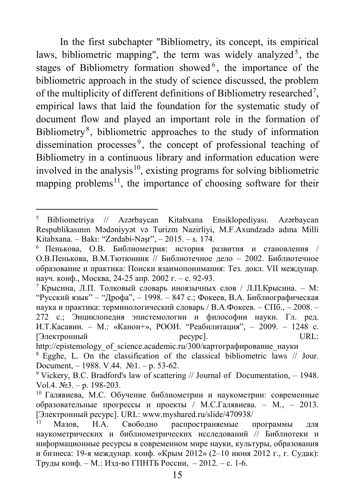In the first subchapter "Bibliometry, its concept, its empirical laws, bibliometric mapping", the term was widely analyzed<sup>[5](#page-14-0)</sup>, the stages of Bibliometry formation showed<sup>[6](#page-14-1)</sup>, the importance of the bibliometric approach in the study of science discussed, the problem of the multiplicity of different definitions of Bibliometry researched<sup>[7](#page-14-2)</sup>, empirical laws that laid the foundation for the systematic study of document flow and played an important role in the formation of Bibliometry<sup>[8](#page-14-3)</sup>, bibliometric approaches to the study of information dissemination processes<sup>[9](#page-14-4)</sup>, the concept of professional teaching of Bibliometry in a continuous library and information education were involved in the analysis<sup>[10](#page-14-5)</sup>, existing programs for solving bibliometric mapping problems<sup>11</sup>, the importance of choosing software for their

<span id="page-14-0"></span> <sup>5</sup> Bibliometriya // Azərbaycan Kitabxana Ensiklopediyası. Azərbaycan Respublikasının Mədəniyyət və Turizm Nazirliyi, M.F.Axundzadə adına Milli Kitabxana. – Bakı: "Zərdabi-Nəşr", – 2015. – s. 174.

<span id="page-14-1"></span> $6$  Пенькова, О.В. Библиометрия: история развития и становления / О.В.Пенькова, В.М.Тютюнник // Библиотечное дело – 2002. Библиотечное образование и практика: Поиски взаимопонимания: Тез. докл. VII междунар. науч. конф., Москва, 24-25 апр. 2002 г. – с. 92-93.

<span id="page-14-2"></span><sup>7</sup> Крысина, Л.П. Толковый словарь иноязычных слов / Л.П.Крысина. – М: "Русский язык" – "Дрофа", – 1998. – 847 c.; Фокеев, В.А. Библиографическая наука и практика: терминологический словарь / В.А.Фокеев. – СПб., – 2008. – 272 с.; Энциклопедия эпистемологии и философии науки. Гл. ред. И.Т.Касавин. – М.: «Канон+», РООИ. "Реабилитация", – 2009. – 1248 c. [Электронный ресурс]. URL:

http://epistemology\_of\_science.academic.ru/300/картографирование\_науки

<span id="page-14-3"></span><sup>8</sup> Egghe, L. On the classification of the classical bibliometric laws // Jour. Document, – 1988. V.44. №1. – p. 53-62.

<span id="page-14-4"></span><sup>&</sup>lt;sup>9</sup> Vickery, B.C. Bradford's law of scattering  $\#$  Journal of Documentation, – 1948. Vol.4. №3. – p. 198-203.

<span id="page-14-5"></span><sup>10</sup> Галявиева, М.С. Обучение библиометрии и наукометрии: современные образовательные прогрессы и проекты / М.С.Галявиева. – М., – 2013. [Электронный ресурс]. URL: www.myshared.ru/slide/470938/

<span id="page-14-6"></span>Мазов, Н.А. Свободно распространяемые программы для наукометрических и библиометрических исследований // Библиотеки и информационные ресурсы в современном мире науки, культуры, образования и бизнеса: 19-я междунар. конф. «Крым 2012» (2–10 июня 2012 г., г. Судак): Труды конф. – М.: Изд-во ГПНТБ России, – 2012. – c. 1-6.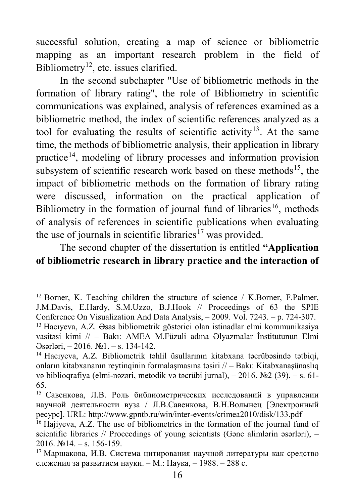successful solution, creating a map of science or bibliometric mapping as an important research problem in the field of Bibliometry<sup>[12](#page-15-0)</sup>, etc. issues clarified.

In the second subchapter "Use of bibliometric methods in the formation of library rating", the role of Bibliometry in scientific communications was explained, analysis of references examined as a bibliometric method, the index of scientific references analyzed as a tool for evaluating the results of scientific activity<sup>[13](#page-15-1)</sup>. At the same time, the methods of bibliometric analysis, their application in library practice<sup>[14](#page-15-2)</sup>, modeling of library processes and information provision subsystem of scientific research work based on these methods<sup>15</sup>, the impact of bibliometric methods on the formation of library rating were discussed, information on the practical application of Bibliometry in the formation of journal fund of libraries<sup>[16](#page-15-4)</sup>, methods of analysis of references in scientific publications when evaluating the use of journals in scientific libraries<sup>[17](#page-15-5)</sup> was provided.

#### The second chapter of the dissertation is entitled **"Application of bibliometric research in library practice and the interaction of**

<span id="page-15-0"></span><sup>&</sup>lt;sup>12</sup> Borner, K. Teaching children the structure of science / K.Borner, F.Palmer, J.M.Davis, E.Hardy, S.M.Uzzo, B.J.Hook // Proceedings of 63 the SPIE Conference On Visualization And Data Analysis, – 2009. Vol. 7243. – p. 724-307. <sup>13</sup> Hacıyeva, A.Z. Əsas bibliometrik göstərici olan istinadlar elmi kommunikasiya vasitəsi kimi // – Bakı: AMEA M.Füzuli adına Əlyazmalar İnstitutunun Elmi Əsərləri, – 2016. №1. – s. 134-142.

<span id="page-15-2"></span><span id="page-15-1"></span><sup>14</sup> Hacıyeva, A.Z. Bibliometrik təhlil üsullarının kitabxana təcrübəsində tətbiqi, onların kitabxananın reytinqinin formalaşmasına təsiri // – Bakı: Kitabxanaşünaslıq və biblioqrafiya (elmi-nəzəri, metodik və təcrübi jurnal), – 2016. №2 (39). – s. 61- 65.

<span id="page-15-3"></span><sup>15</sup> Савенкова, Л.В. Роль библиометрических исследований в управлении научной деятельности вуза / Л.В.Савенкова, В.Н.Волынец [Электронный ресурс]. URL: http://www.gpntb.ru/win/inter-events/crimea2010/disk/133.pdf

<span id="page-15-4"></span><sup>&</sup>lt;sup>16</sup> Hajiyeva, A.Z. The use of bibliometrics in the formation of the journal fund of scientific libraries // Proceedings of young scientists (Ganc alimlərin əsərləri),  $2016.$   $\text{Ne}14. - \text{s}$ ,  $156-159$ .

<span id="page-15-5"></span><sup>17</sup> Маршакова, И.В. Система цитирования научной литературы как средство слежения за развитием науки. – М.: Наука, – 1988. – 288 с.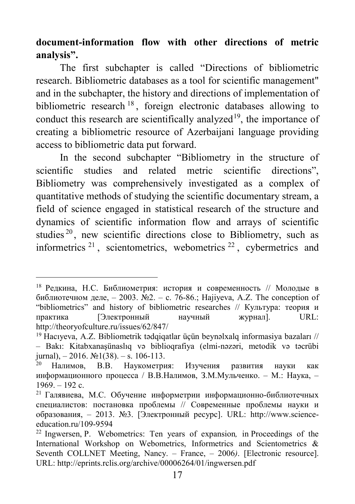**document-information flow with other directions of metric analysis".**

The first subchapter is called "Directions of bibliometric research. Bibliometric databases as a tool for scientific management" and in the subchapter, the history and directions of implementation of bibliometric research [18](#page-16-0) , foreign electronic databases allowing to conduct this research are scientifically analyzed<sup>[19](#page-16-1)</sup>, the importance of creating a bibliometric resource of Azerbaijani language providing access to bibliometric data put forward.

In the second subchapter "Bibliometry in the structure of scientific studies and related metric scientific directions", Bibliometry was comprehensively investigated as a complex of quantitative methods of studying the scientific documentary stream, a field of science engaged in statistical research of the structure and dynamics of scientific information flow and arrays of scientific studies  $20$ , new scientific directions close to Bibliometry, such as informetrics  $21$ , scientometrics, webometrics  $22$ , cybermetrics and

<span id="page-16-0"></span> <sup>18</sup> Редкина, Н.С. Библиометрия: история и современность // Молодые в библиотечном деле, – 2003. №2. – c. 76-86.; Hajiyeva, A.Z. The conception of "bibliometrics" and history of bibliometric researches // Культура: теория и практика [Электронный научный журнал]. URL: http://theoryofculture.ru/issues/62/847/

<span id="page-16-1"></span><sup>19</sup> Hacıyeva, A.Z. Bibliometrik tədqiqatlar üçün beynəlxalq informasiya bazaları // – Bakı: Kitabxanaşünaslıq və biblioqrafiya (elmi-nəzəri, metodik və təcrübi jurnal),  $-2016$ .  $\mathbb{N}$ <sup>1</sup>(38). – s. 106-113.

<span id="page-16-2"></span><sup>20</sup> Налимов, В.В. Наукометрия: Изучения развития науки как информационного процесса / В.В.Налимов, З.М.Мульченко. – М.: Наука, –  $1969. - 192$  c.

<span id="page-16-3"></span><sup>21</sup> Галявиева, М.С. Обучение информетрии информационно-библиотечных специалистов: постановка проблемы // Современные проблемы науки и образования, – 2013. №3. [Электронный ресурс]. URL: [http://www.science](http://www.science-education.ru/109-9594)[education.ru/109-9594](http://www.science-education.ru/109-9594)

<span id="page-16-4"></span><sup>22</sup> Ingwersen, P. Webometrics: Ten years of expansion*,* in Proceedings of the International Workshop on Webometrics, Informetrics and Scientometrics & Seventh COLLNET Meeting, Nancy. – France, – 2006*)*. [Electronic resource]. URL: <http://eprints.rclis.org/archive/00006264/01/ingwersen.pdf>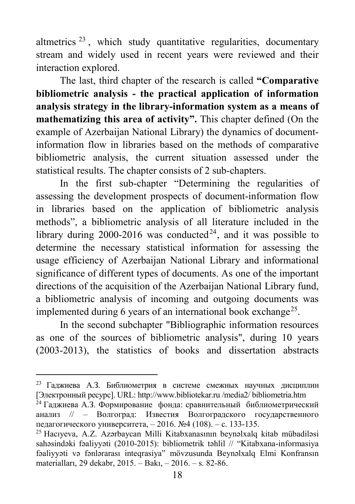altmetrics  $23$ , which study quantitative regularities, documentary stream and widely used in recent years were reviewed and their interaction explored.

The last, third chapter of the research is called **"Comparative bibliometric analysis - the practical application of information analysis strategy in the library-information system as a means of mathematizing this area of activity".** This chapter defined (On the example of Azerbaijan National Library) the dynamics of documentinformation flow in libraries based on the methods of comparative bibliometric analysis, the current situation assessed under the statistical results. The chapter consists of 2 sub-chapters.

In the first sub-chapter "Determining the regularities of assessing the development prospects of document-information flow in libraries based on the application of bibliometric analysis methods", a bibliometric analysis of all literature included in the library during 2000-2016 was conducted<sup>[24](#page-17-1)</sup>, and it was possible to determine the necessary statistical information for assessing the usage efficiency of Azerbaijan National Library and informational significance of different types of documents. As one of the important directions of the acquisition of the Azerbaijan National Library fund, a bibliometric analysis of incoming and outgoing documents was implemented during 6 years of an international book exchange<sup>25</sup>.

In the second subchapter "Bibliographic information resources as one of the sources of bibliometric analysis", during 10 years (2003-2013), the statistics of books and dissertation abstracts

<span id="page-17-0"></span> <sup>23</sup> Гаджиева А.З. Библиометрия в системе смежных научных дисциплин [Электронный ресурс]. URL: http://www.bibliotekar.ru /media2/ bibliometria.htm

<span id="page-17-1"></span> $^{24}$  Гаджиева А.З. Формирование фонда: сравнительный библиометрический анализ // – Волгоград: Известия Волгоградского государственного педагогического университета, – 2016. №4 (108). – с. 133-135.

<span id="page-17-2"></span><sup>25</sup> Hacıyeva, A.Z. Azərbaycan Milli Kitabxanasının beynəlxalq kitab mübadiləsi sahəsindəki fəaliyyəti (2010-2015): bibliometrik təhlil // "Kitabxana-informasiya fəaliyyəti və fənlərarası inteqrasiya" mövzusunda Beynəlxalq Elmi Konfransın materialları, 29 dekabr, 2015. – Bakı, – 2016. – s. 82-86.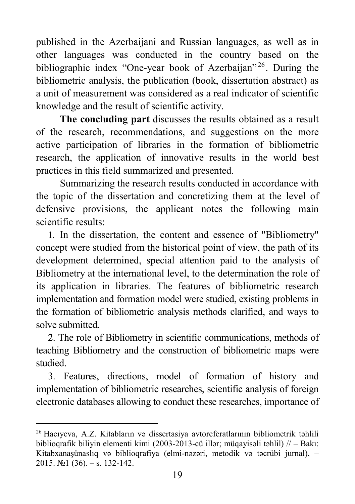published in the Azerbaijani and Russian languages, as well as in other languages was conducted in the country based on the bibliographic index "One-year book of Azerbaijan"<sup>[26](#page-18-0)</sup>. During the bibliometric analysis, the publication (book, dissertation abstract) as a unit of measurement was considered as a real indicator of scientific knowledge and the result of scientific activity.

**The concluding part** discusses the results obtained as a result of the research, recommendations, and suggestions on the more active participation of libraries in the formation of bibliometric research, the application of innovative results in the world best practices in this field summarized and presented.

Summarizing the research results conducted in accordance with the topic of the dissertation and concretizing them at the level of defensive provisions, the applicant notes the following main scientific results:

1. In the dissertation, the content and essence of "Bibliometry" concept were studied from the historical point of view, the path of its development determined, special attention paid to the analysis of Bibliometry at the international level, to the determination the role of its application in libraries. The features of bibliometric research implementation and formation model were studied, existing problems in the formation of bibliometric analysis methods clarified, and ways to solve submitted.

2. The role of Bibliometry in scientific communications, methods of teaching Bibliometry and the construction of bibliometric maps were studied.

3. Features, directions, model of formation of history and implementation of bibliometric researches, scientific analysis of foreign electronic databases allowing to conduct these researches, importance of

<span id="page-18-0"></span><sup>26</sup> Hacıyeva, A.Z. Kitabların və dissertasiya avtoreferatlarının bibliometrik təhlili biblioqrafik biliyin elementi kimi (2003-2013-cü illər; müqayisəli təhlil)  $//-$  Bakı: Kitabxanaşünaslıq və biblioqrafiya (elmi-nəzəri, metodik və təcrübi jurnal), – 2015. №1 (36). – s. 132-142.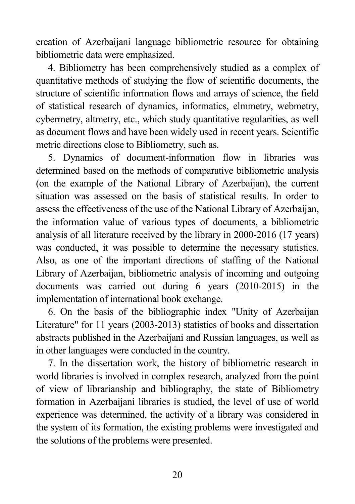creation of Azerbaijani language bibliometric resource for obtaining bibliometric data were emphasized.

4. Bibliometry has been comprehensively studied as a complex of quantitative methods of studying the flow of scientific documents, the structure of scientific information flows and arrays of science, the field of statistical research of dynamics, informatics, elmmetry, webmetry, cybermetry, altmetry, etc., which study quantitative regularities, as well as document flows and have been widely used in recent years. Scientific metric directions close to Bibliometry, such as.

5. Dynamics of document-information flow in libraries was determined based on the methods of comparative bibliometric analysis (on the example of the National Library of Azerbaijan), the current situation was assessed on the basis of statistical results. In order to assess the effectiveness of the use of the National Library of Azerbaijan, the information value of various types of documents, a bibliometric analysis of all literature received by the library in 2000-2016 (17 years) was conducted, it was possible to determine the necessary statistics. Also, as one of the important directions of staffing of the National Library of Azerbaijan, bibliometric analysis of incoming and outgoing documents was carried out during 6 years (2010-2015) in the implementation of international book exchange.

6. On the basis of the bibliographic index "Unity of Azerbaijan Literature" for 11 years (2003-2013) statistics of books and dissertation abstracts published in the Azerbaijani and Russian languages, as well as in other languages were conducted in the country.

7. In the dissertation work, the history of bibliometric research in world libraries is involved in complex research, analyzed from the point of view of librarianship and bibliography, the state of Bibliometry formation in Azerbaijani libraries is studied, the level of use of world experience was determined, the activity of a library was considered in the system of its formation, the existing problems were investigated and the solutions of the problems were presented.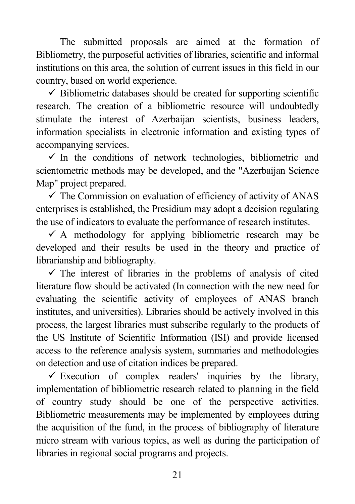The submitted proposals are aimed at the formation of Bibliometry, the purposeful activities of libraries, scientific and informal institutions on this area, the solution of current issues in this field in our country, based on world experience.

 $\checkmark$  Bibliometric databases should be created for supporting scientific research. The creation of a bibliometric resource will undoubtedly stimulate the interest of Azerbaijan scientists, business leaders, information specialists in electronic information and existing types of accompanying services.

 $\checkmark$  In the conditions of network technologies, bibliometric and scientometric methods may be developed, and the "Azerbaijan Science Map" project prepared.

 $\checkmark$  The Commission on evaluation of efficiency of activity of ANAS enterprises is established, the Presidium may adopt a decision regulating the use of indicators to evaluate the performance of research institutes.

 $\checkmark$  A methodology for applying bibliometric research may be developed and their results be used in the theory and practice of librarianship and bibliography.

 $\checkmark$  The interest of libraries in the problems of analysis of cited literature flow should be activated (In connection with the new need for evaluating the scientific activity of employees of ANAS branch institutes, and universities). Libraries should be actively involved in this process, the largest libraries must subscribe regularly to the products of the US Institute of Scientific Information (ISI) and provide licensed access to the reference analysis system, summaries and methodologies on detection and use of citation indices be prepared.

 $\checkmark$  Execution of complex readers' inquiries by the library, implementation of bibliometric research related to planning in the field of country study should be one of the perspective activities. Bibliometric measurements may be implemented by employees during the acquisition of the fund, in the process of bibliography of literature micro stream with various topics, as well as during the participation of libraries in regional social programs and projects.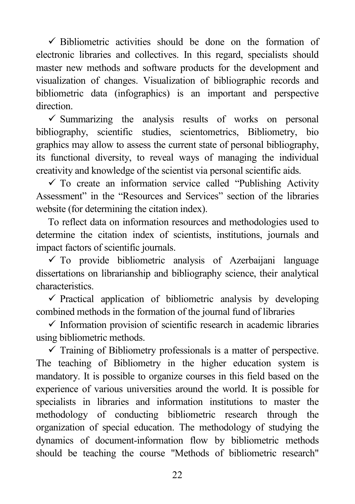$\checkmark$  Bibliometric activities should be done on the formation of electronic libraries and collectives. In this regard, specialists should master new methods and software products for the development and visualization of changes. Visualization of bibliographic records and bibliometric data (infographics) is an important and perspective direction.

 $\checkmark$  Summarizing the analysis results of works on personal bibliography, scientific studies, scientometrics, Bibliometry, bio graphics may allow to assess the current state of personal bibliography, its functional diversity, to reveal ways of managing the individual creativity and knowledge of the scientist via personal scientific aids.

 $\checkmark$  To create an information service called "Publishing Activity" Assessment" in the "Resources and Services" section of the libraries website (for determining the citation index).

To reflect data on information resources and methodologies used to determine the citation index of scientists, institutions, journals and impact factors of scientific journals.

 $\checkmark$  To provide bibliometric analysis of Azerbaijani language dissertations on librarianship and bibliography science, their analytical characteristics.

 $\checkmark$  Practical application of bibliometric analysis by developing combined methods in the formation of the journal fund of libraries

 $\checkmark$  Information provision of scientific research in academic libraries using bibliometric methods.

 $\checkmark$  Training of Bibliometry professionals is a matter of perspective. The teaching of Bibliometry in the higher education system is mandatory. It is possible to organize courses in this field based on the experience of various universities around the world. It is possible for specialists in libraries and information institutions to master the methodology of conducting bibliometric research through the organization of special education. The methodology of studying the dynamics of document-information flow by bibliometric methods should be teaching the course "Methods of bibliometric research"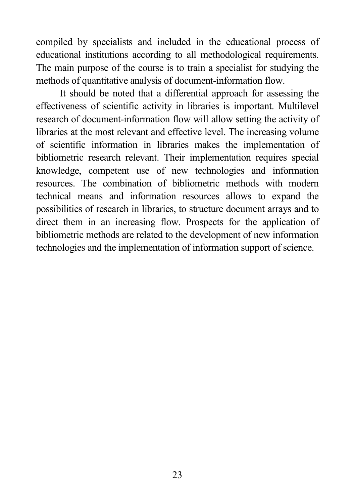compiled by specialists and included in the educational process of educational institutions according to all methodological requirements. The main purpose of the course is to train a specialist for studying the methods of quantitative analysis of document-information flow.

It should be noted that a differential approach for assessing the effectiveness of scientific activity in libraries is important. Multilevel research of document-information flow will allow setting the activity of libraries at the most relevant and effective level. The increasing volume of scientific information in libraries makes the implementation of bibliometric research relevant. Their implementation requires special knowledge, competent use of new technologies and information resources. The combination of bibliometric methods with modern technical means and information resources allows to expand the possibilities of research in libraries, to structure document arrays and to direct them in an increasing flow. Prospects for the application of bibliometric methods are related to the development of new information technologies and the implementation of information support of science.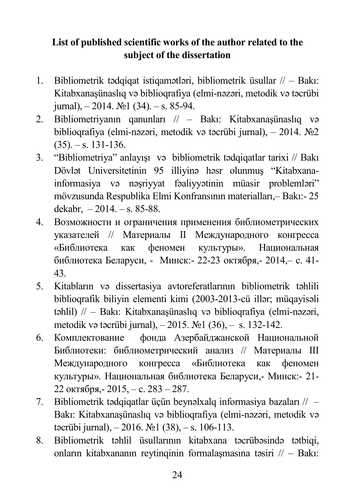## **List of published scientific works of the author related to the subject of the dissertation**

- 1. Bibliometrik tədqiqat istiqamətləri, bibliometrik üsullar // Bakı: Kitabxanaşünaslıq və biblioqrafiya (elmi-nəzəri, metodik və təcrübi jurnal),  $-2014$ .  $\mathbb{N}$ <sup>o</sup> 1 (34). – s. 85-94.
- 2. Bibliometriyanın qanunları // Bakı: Kitabxanaşünaslıq və biblioqrafiya (elmi-nəzəri, metodik və təcrübi jurnal), – 2014. №2  $(35)$ . – s. 131-136.
- 3. "Bibliometriya" anlayışı və bibliometrik tədqiqatlar tarixi // Bakı Dövlət Universitetinin 95 illiyinə həsr olunmuş "Kitabxanainformasiya və nəşriyyat fəaliyyətinin müasir problemləri" mövzusunda Respublika Elmi Konfransının materialları,– Bakı:- 25 dekabr,  $-2014$ ,  $-$  s. 85-88.
- 4. Возможности и ограничения применения библиометрических указателей // Материалы II Международного конгресса «Библиотека как феномен культуры». Национальная библиотека Беларуси, - Минск:- 22-23 октября,- 2014,– c. 41- 43.
- 5. Kitabların və dissertasiya avtoreferatlarının bibliometrik təhlili biblioqrafik biliyin elementi kimi (2003-2013-cü illər; müqayisəli təhlil) // – Bakı: Kitabxanaşünaslıq və biblioqrafiya (elmi-nəzəri, metodik və təcrübi jurnal), – 2015. №1 (36), – s. 132-142.
- 6. Комплектование фонда Азербайджанской Национальной Библиотеки: библиометрический анализ // Материалы III Международного конгресса «Библиотека как феномен культуры». Национальная библиотека Беларуси,- Минск:- 21- 22 октября,- 2015, – c. 283 – 287.
- 7. Bibliometrik tədqiqatlar üçün beynəlxalq informasiya bazaları // Bakı: Kitabxanaşünaslıq və biblioqrafiya (elmi-nəzəri, metodik və təcrübi jurnal), – 2016. №1 (38), – s. 106-113.
- 8. Bibliometrik təhlil üsullarının kitabxana təcrübəsində tətbiqi, onların kitabxananın reytinqinin formalaşmasına təsiri // – Bakı: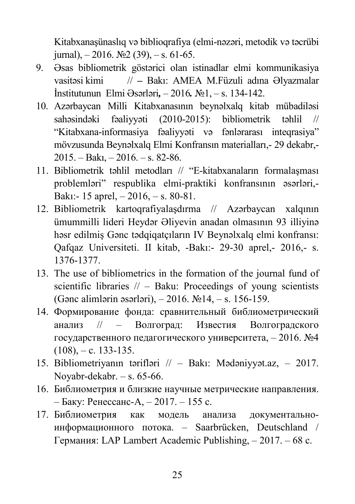Kitabxanaşünaslıq və biblioqrafiya (elmi-nəzəri, metodik və təcrübi jurnal),  $-2016$ .  $\mathbb{N} \times 2$  (39),  $-$  s. 61-65.

- 9. Əsas bibliometrik göstərici olan istinadlar elmi kommunikasiya vasitəsi kimi // *–* Bakı: AMEA M.Füzuli adına Əlyazmalar İnstitutunun Elmi Əsərləri*,* – 2016*.* №1, – s. 134-142.
- 10. Azərbaycan Milli Kitabxanasının beynəlxalq kitab mübadiləsi sahəsindəki fəaliyyəti (2010-2015): bibliometrik təhlil // "Kitabxana-informasiya fəaliyyəti və fənlərarası inteqrasiya" mövzusunda Beynəlxalq Elmi Konfransın materialları,- 29 dekabr,- 2015. – Bakı, – 2016. – s. 82-86.
- 11. Bibliometrik təhlil metodları // "E-kitabxanaların formalaşması problemləri" respublika elmi-praktiki konfransının əsərləri,- Bakı:- 15 aprel, – 2016, – s. 80-81.
- 12. Bibliometrik kartoqrafiyalaşdırma // Azərbaycan xalqının ümummilli lideri Heydər Əliyevin anadan olmasının 93 illiyinə həsr edilmiş Gənc tədqiqatçıların IV Beynəlxalq elmi konfransı: Qafqaz Universiteti. II kitab, -Bakı:- 29-30 aprel,- 2016,- s. 1376-1377.
- 13. The use of bibliometrics in the formation of the journal fund of scientific libraries  $//-$  Baku: Proceedings of young scientists (Gənc alimlərin əsərləri), – 2016. №14, – s. 156-159.
- 14. Формирование фонда: сравнительный библиометрический анализ // – Волгоград: Известия Волгоградского государственного педагогического университета, – 2016. №4  $(108)$ , – c. 133-135.
- 15. Bibliometriyanın tərifləri // Bakı: Mədəniyyət.az, 2017. Noyabr-dekabr. – s. 65-66.
- 16. Библиометрия и близкие научные метрические направления. – Баку: Ренессанс-А, – 2017. – 155 c.
- 17. Библиометрия как модель анализа документальноинформационного потока. – Saarbrücken, Deutschland / Германия: LAP Lambert Academic Publishing, – 2017. – 68 c.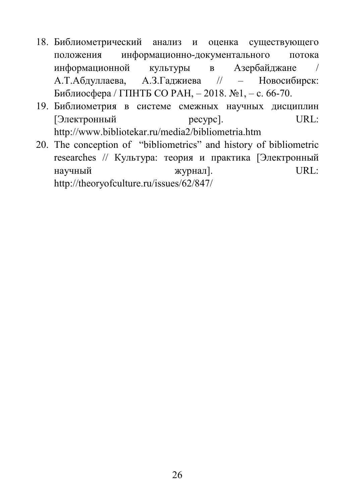- 18. Библиометрический анализ и оценка существующего положения информационно-документального потока информационной культуры в Азербайджане / А.Т.Абдуллаева, А.З.Гаджиева // – Новосибирск: Библиосфера / ГПНТБ СО РАН, – 2018. №1, – c. 66-70.
- 19. Библиометрия в системе смежных научных дисциплин [Электронный ресурс]. URL: <http://www.bibliotekar.ru/media2/bibliometria.htm>
- 20. The conception of "bibliometrics" and history of bibliometric researches // Культура: теория и практика [Электронный научный журнал]. URL: http://theoryofculture.ru/issues/62/847/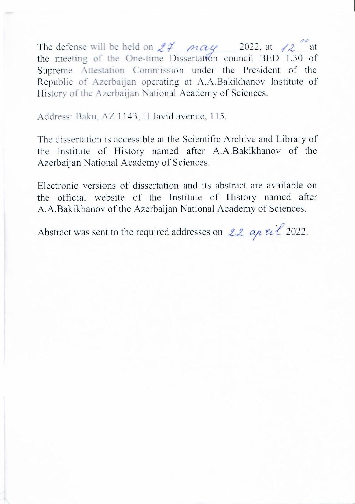The defense will be held on  $24$  may 2022, at  $12$  at the meeting of the One-time Dissertation council BED 1.30 of Supreme Attestation Commission under the President of the Republic of Azerbaijan operating at A.A.Bakikhanov Institute of History of the Azerbaijan National Academy of Sciences.

Address: Baku, AZ 1143, H.Javid avenue, 115.

The dissertation is accessible at the Scientific Archive and Library of the Institute of History named after A.A.Bakikhanov of the Azerbaijan National Academy of Sciences.

Electronic versions of dissertation and its abstract are available on the official website of the Institute of History named after A.A.Bakikhanov of the Azerbaijan National Academy of Sciences.

Abstract was sent to the required addresses on  $22$  ap  $\ell i \ell$  2022.